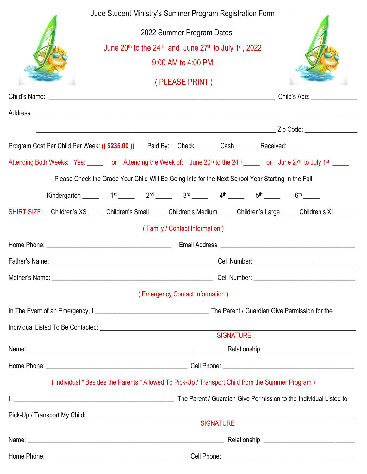| Jude Student Ministry's Summer Program Registration Form                                                                                                               |                            |
|------------------------------------------------------------------------------------------------------------------------------------------------------------------------|----------------------------|
| 2022 Summer Program Dates                                                                                                                                              |                            |
| June $20th$ to the $24th$ and June $27th$ to July 1 <sup>st</sup> , 2022                                                                                               |                            |
| 9:00 AM to 4:00 PM                                                                                                                                                     |                            |
| (PLEASE PRINT)                                                                                                                                                         |                            |
|                                                                                                                                                                        |                            |
|                                                                                                                                                                        |                            |
|                                                                                                                                                                        |                            |
| Program Cost Per Child Per Week: ((\$235.00)) Paid By: Check _____ Cash _____ Received: ____                                                                           |                            |
| Attending Both Weeks: Yes: ______ or Attending the Week of: June 20 <sup>th</sup> to the 24 <sup>th</sup> _____ or June 27 <sup>th</sup> to July 1 <sup>st</sup> _____ |                            |
| Please Check the Grade Your Child Will Be Going Into for the Next School Year Starting In the Fall                                                                     |                            |
| Kindergarten 1st 1st 2nd 2nd 3rd 4th 5th 5th 6th 6th                                                                                                                   |                            |
| SHIRT SIZE: Children's XS ____ Children's Small ____ Children's Medium ____ Children's Large ____ Children's XL ____                                                   |                            |
| (Family / Contact Information)                                                                                                                                         |                            |
|                                                                                                                                                                        |                            |
|                                                                                                                                                                        |                            |
|                                                                                                                                                                        |                            |
| (Emergency Contact Information)                                                                                                                                        |                            |
|                                                                                                                                                                        |                            |
|                                                                                                                                                                        |                            |
| <b>SIGNATURE</b>                                                                                                                                                       |                            |
|                                                                                                                                                                        |                            |
|                                                                                                                                                                        |                            |
| (Individual "Besides the Parents "Allowed To Pick-Up / Transport Child from the Summer Program)                                                                        |                            |
|                                                                                                                                                                        |                            |
|                                                                                                                                                                        | SIGNATURE <b>SIGNATURE</b> |
|                                                                                                                                                                        |                            |
|                                                                                                                                                                        |                            |